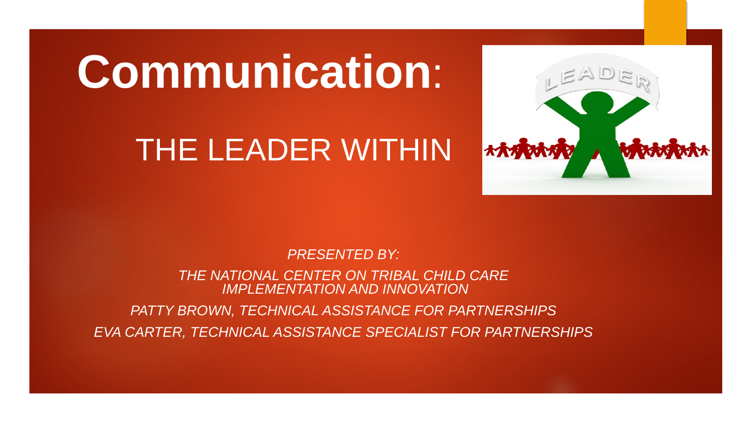# **Communication**:

## THE LEADER WITHIN



*PRESENTED BY:* 

*THE NATIONAL CENTER ON TRIBAL CHILD CARE IMPLEMENTATION AND INNOVATION*

*PATTY BROWN, TECHNICAL ASSISTANCE FOR PARTNERSHIPS EVA CARTER, TECHNICAL ASSISTANCE SPECIALIST FOR PARTNERSHIPS*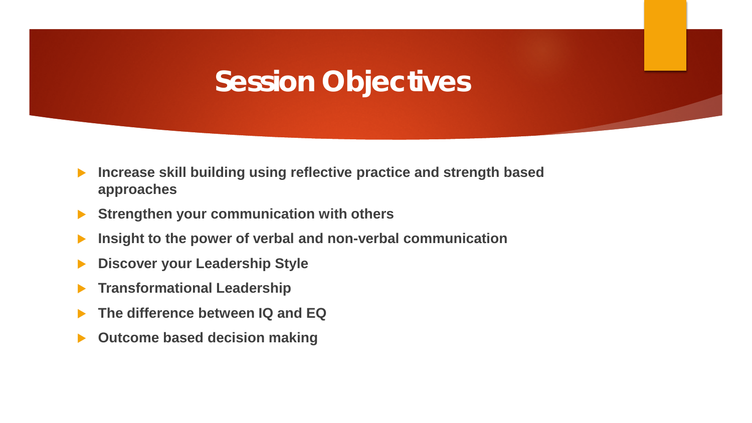### **Session Objectives**

- **Increase skill building using reflective practice and strength based approaches**
- **Strengthen your communication with others**
- **Insight to the power of verbal and non-verbal communication**
- **Discover your Leadership Style**
- **Transformational Leadership**
- **The difference between IQ and EQ**
- **Outcome based decision making**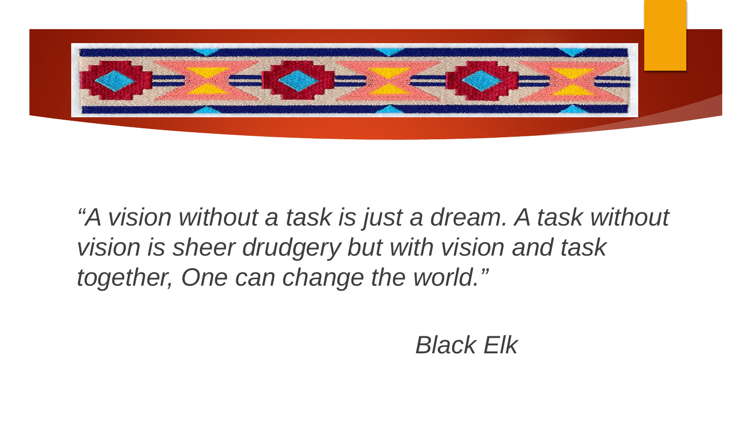

*"A vision without a task is just a dream. A task without vision is sheer drudgery but with vision and task together, One can change the world."*

*Black Elk*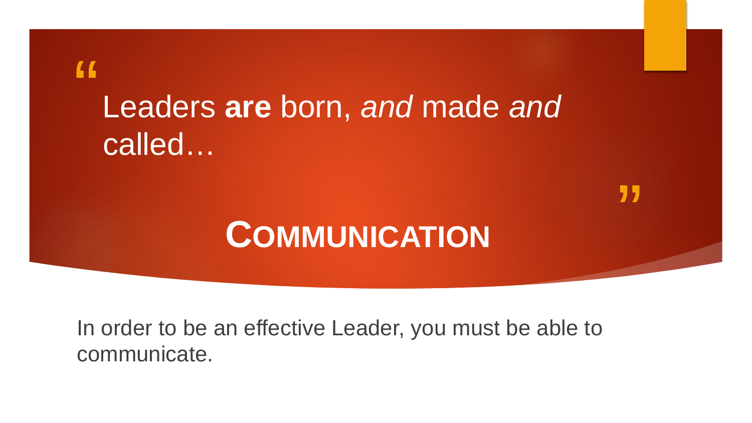## $66$ Leaders **are** born, *and* made *and* called…

## **COMMUNICATION**

"

In order to be an effective Leader, you must be able to communicate.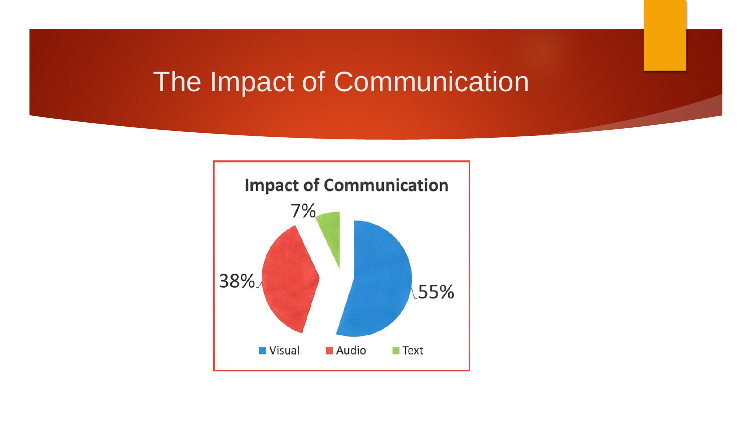### The Impact of Communication

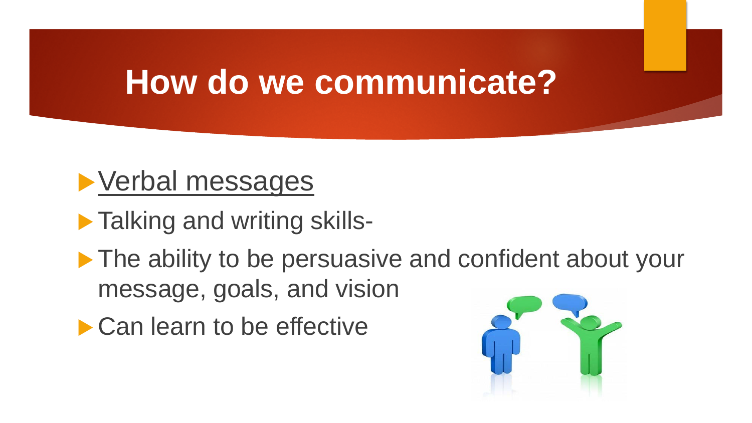## **How do we communicate?**



- **Talking and writing skills-**
- ▶ The ability to be persuasive and confident about your message, goals, and vision
- ▶ Can learn to be effective

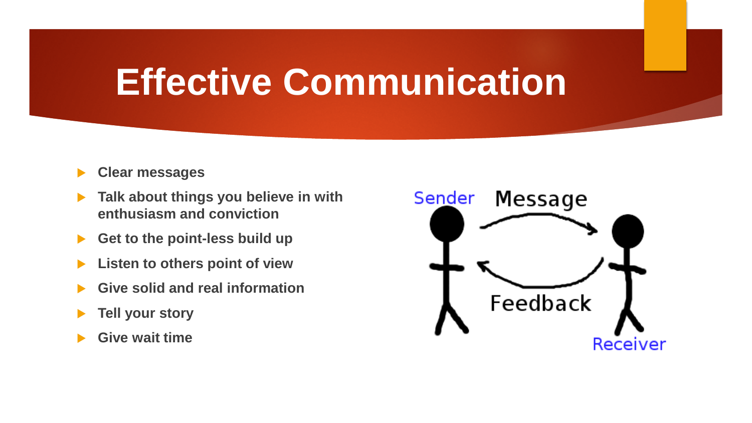## **Effective Communication**

- **Clear messages**
- **Talk about things you believe in with enthusiasm and conviction**
- **Get to the point-less build up**
- **Listen to others point of view**
- **Give solid and real information**
- **Tell your story**
- **Give wait time**

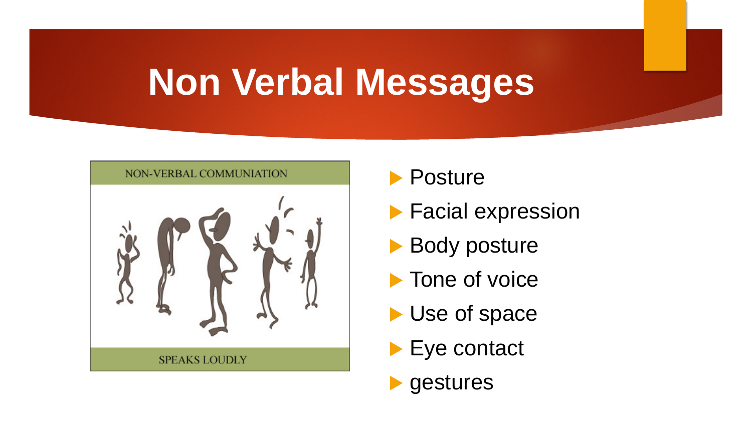# **Non Verbal Messages**

![](_page_7_Figure_1.jpeg)

![](_page_7_Picture_2.jpeg)

- **Facial expression**
- Body posture
- **Tone of voice**
- Use of space
- Eye contact

![](_page_7_Picture_8.jpeg)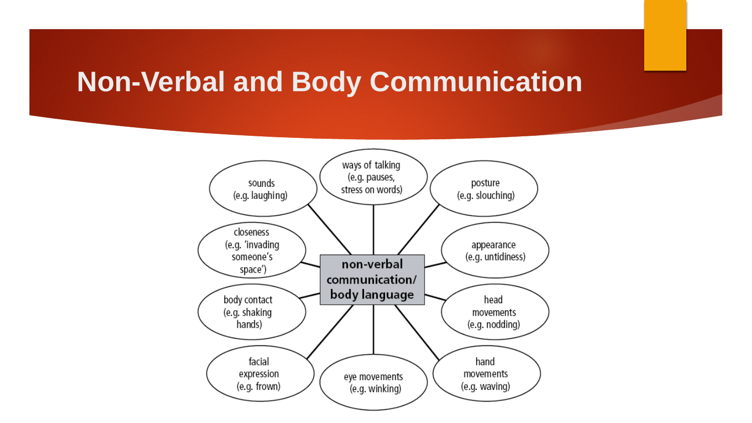### **Non-Verbal and Body Communication**

![](_page_8_Figure_1.jpeg)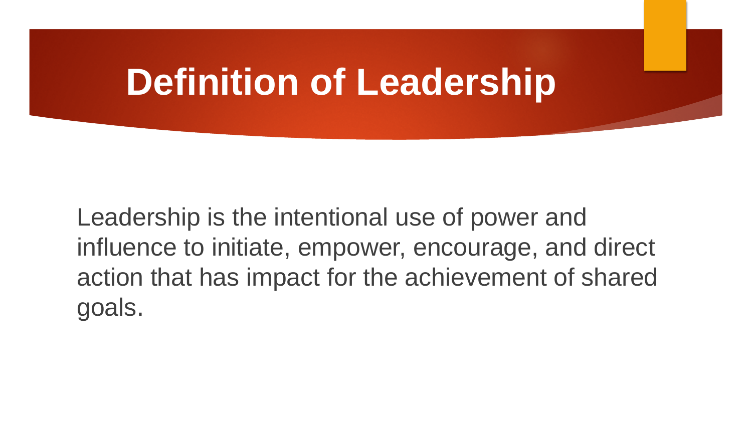## **Definition of Leadership**

Leadership is the intentional use of power and influence to initiate, empower, encourage, and direct action that has impact for the achievement of shared goals.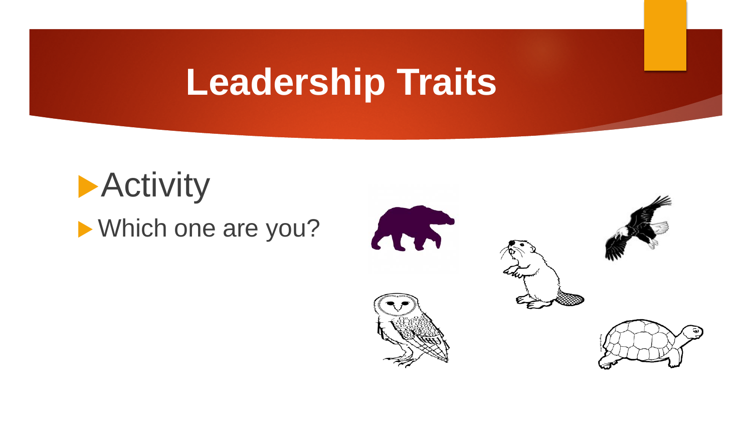# **Leadership Traits**

![](_page_10_Picture_1.jpeg)

![](_page_10_Picture_2.jpeg)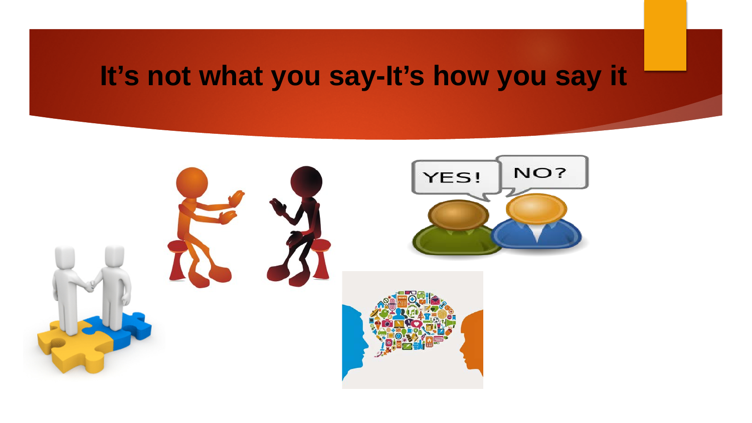## **It's not what you say-It's how you say it**

![](_page_11_Picture_1.jpeg)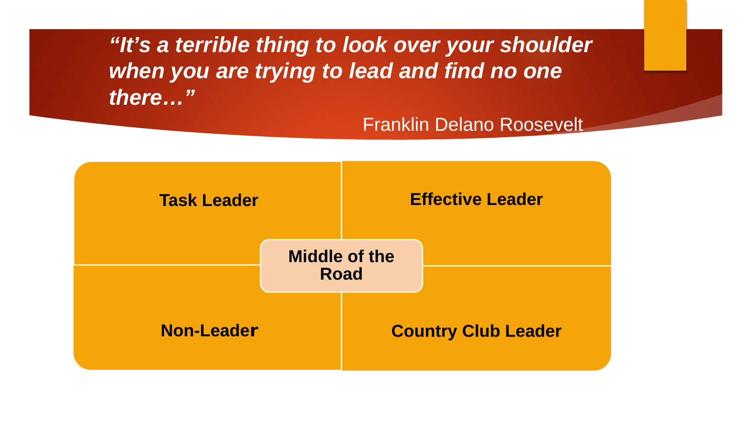*"It's a terrible thing to look over your shoulder when you are trying to lead and find no one there…"* 

### Franklin Delano Roosevelt

![](_page_12_Figure_2.jpeg)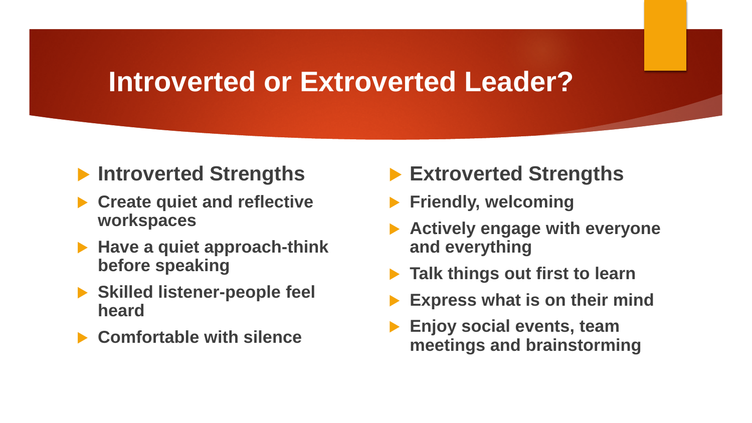### **Introverted or Extroverted Leader?**

### **Introverted Strengths**

- **Create quiet and reflective workspaces**
- ▶ Have a quiet approach-think **before speaking**
- **Skilled listener-people feel heard**
- **Comfortable with silence**
- **Extroverted Strengths**
- **Friendly, welcoming**
- **Actively engage with everyone and everything**
- **Talk things out first to learn**
- **Express what is on their mind**
- **Enjoy social events, team meetings and brainstorming**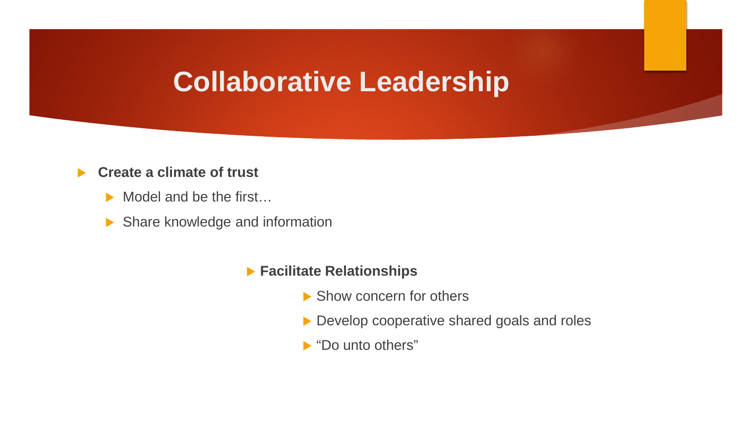### **Collaborative Leadership**

#### **Create a climate of trust**

- Model and be the first...
- Share knowledge and information
	- **Facilitate Relationships**
		- ▶ Show concern for others
		- Develop cooperative shared goals and roles
		- ▶ "Do unto others"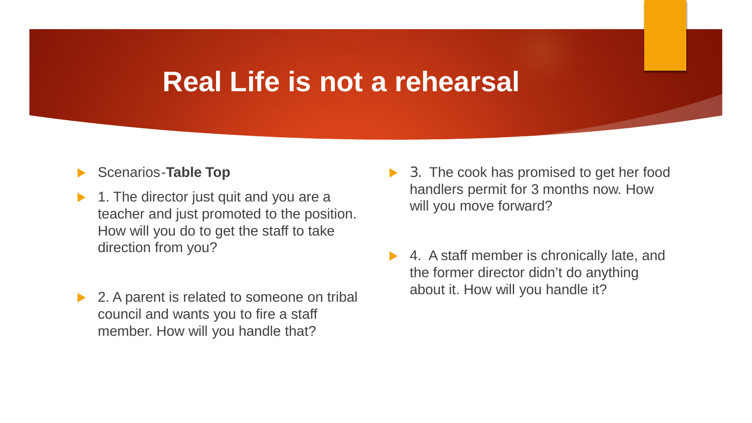### **Real Life is not a rehearsal**

#### Scenarios-**Table Top**

- 1. The director just quit and you are a teacher and just promoted to the position. How will you do to get the staff to take direction from you?
- ▶ 2. A parent is related to someone on tribal council and wants you to fire a staff member. How will you handle that?
- ▶ 3. The cook has promised to get her food handlers permit for 3 months now. How will you move forward?
- ▶ 4. A staff member is chronically late, and the former director didn't do anything about it. How will you handle it?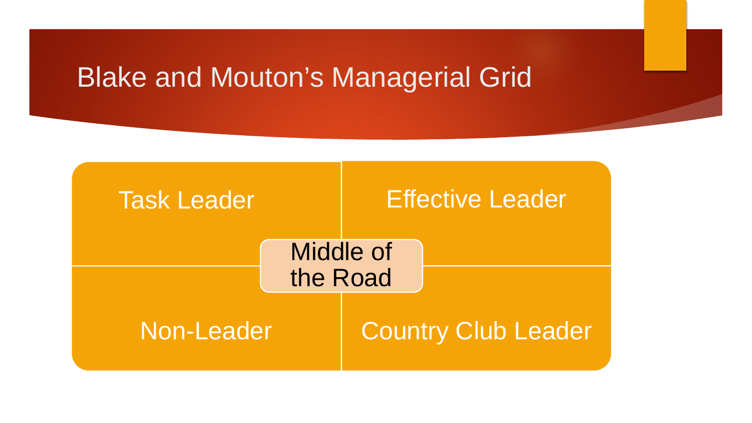### Blake and Mouton's Managerial Grid

![](_page_16_Figure_1.jpeg)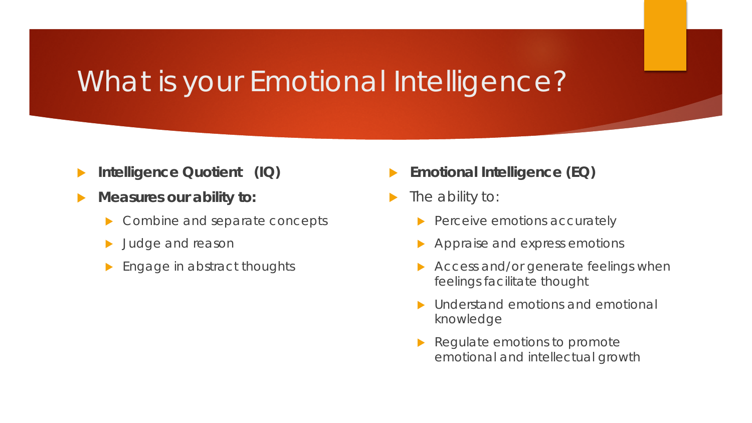## What is your Emotional Intelligence?

- **Intelligence Quotient (IQ)**
- **Measures our ability to:**
	- Combine and separate concepts
	- Judge and reason
	- Engage in abstract thoughts
- **Emotional Intelligence (EQ)**
- The ability to:
	- $\blacktriangleright$  Perceive emotions accurately
	- Appraise and express emotions
	- Access and/or generate feelings when feelings facilitate thought
	- Understand emotions and emotional knowledge
	- Regulate emotions to promote emotional and intellectual growth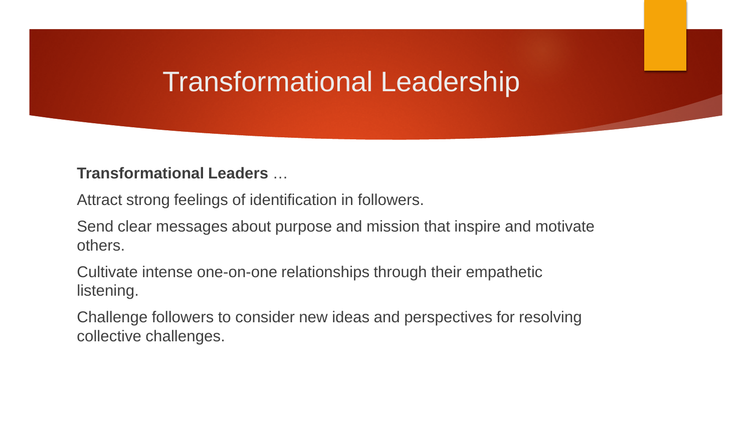### Transformational Leadership

### **Transformational Leaders** …

Attract strong feelings of identification in followers.

Send clear messages about purpose and mission that inspire and motivate others.

Cultivate intense one-on-one relationships through their empathetic listening.

Challenge followers to consider new ideas and perspectives for resolving collective challenges.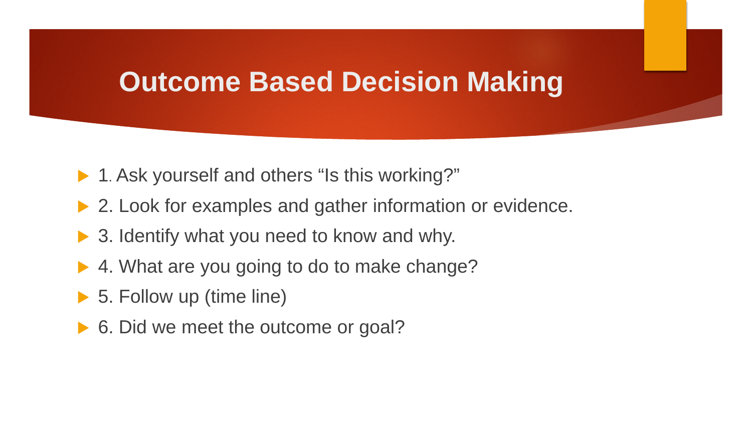### **Outcome Based Decision Making**

- ▶ 1. Ask yourself and others "Is this working?"
- ▶ 2. Look for examples and gather information or evidence.
- ▶ 3. Identify what you need to know and why.
- ▶ 4. What are you going to do to make change?
- ▶ 5. Follow up (time line)
- ▶ 6. Did we meet the outcome or goal?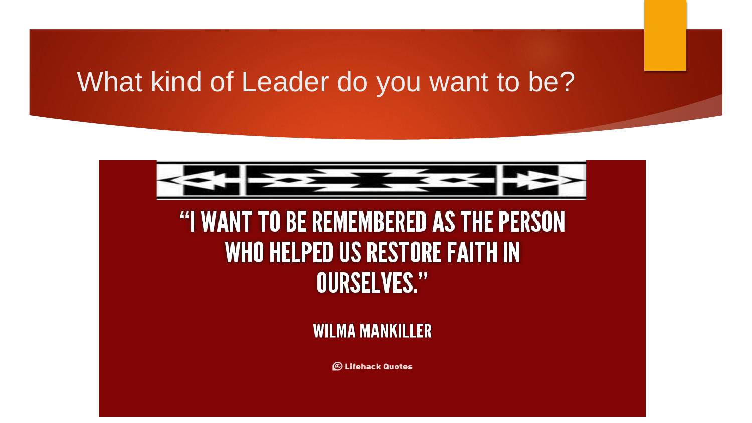### What kind of Leader do you want to be?

![](_page_20_Picture_1.jpeg)

### "I WANT TO BE REMEMBERED AS THE PERSON WHO HELPED US RESTORE FAITH IN **OURSELVES."**

### **WILMA MANKILLER**

**S** Lifehack Quotes